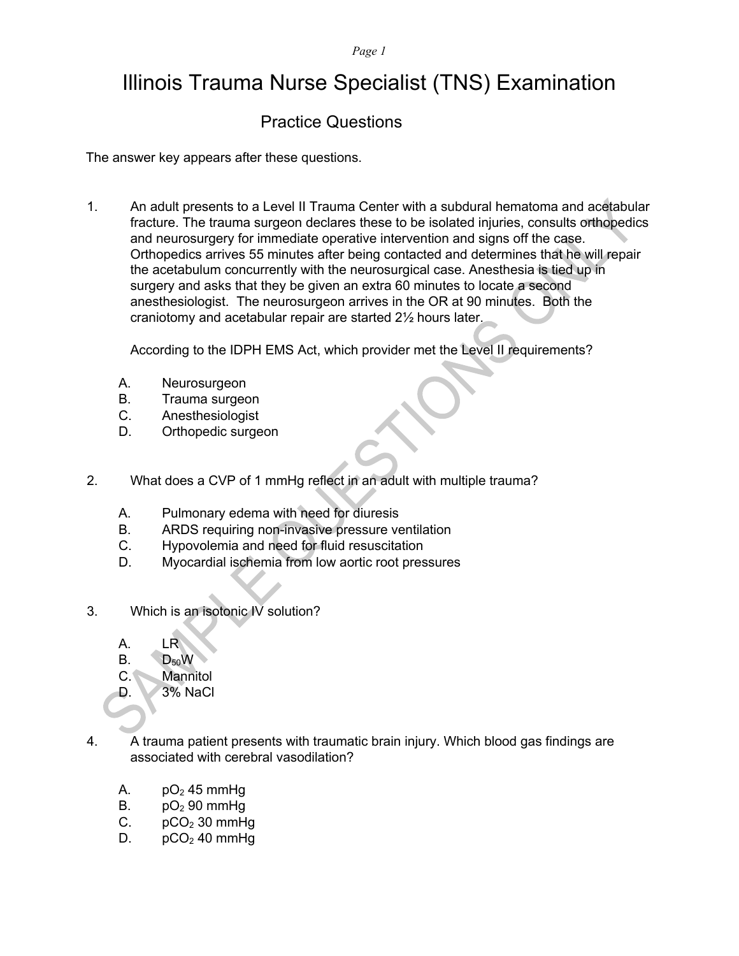## Illinois Trauma Nurse Specialist (TNS) Examination

## Practice Questions

The answer key appears after these questions.

1. An adult presents to a Level II Trauma Center with a subdural hematoma and acetabular fracture. The trauma surgeon declares these to be isolated injuries, consults orthopedics and neurosurgery for immediate operative intervention and signs off the case. Orthopedics arrives 55 minutes after being contacted and determines that he will repair the acetabulum concurrently with the neurosurgical case. Anesthesia is tied up in surgery and asks that they be given an extra 60 minutes to locate a second anesthesiologist. The neurosurgeon arrives in the OR at 90 minutes. Both the craniotomy and acetabular repair are started 2½ hours later.

According to the IDPH EMS Act, which provider met the Level II requirements?

- A. Neurosurgeon
- B. Trauma surgeon
- C. Anesthesiologist
- D. Orthopedic surgeon
- 2. What does a CVP of 1 mmHg reflect in an adult with multiple trauma?
	- A. Pulmonary edema with need for diuresis
	- B. ARDS requiring non-invasive pressure ventilation
	- C. Hypovolemia and need for fluid resuscitation
	- D. Myocardial ischemia from low aortic root pressures
- 3. Which is an isotonic IV solution?
	- A. LR
	- $B.$  D<sub>50</sub>W
	- C. Mannitol
	- D. 3% NaCl
- 4. A trauma patient presents with traumatic brain injury. Which blood gas findings are associated with cerebral vasodilation?
	- A.  $pO<sub>2</sub>$  45 mmHq
	- B.  $pO<sub>2</sub>$  90 mmHq
	- C.  $pCO<sub>2</sub>$  30 mmHg
	- D.  $pCO<sub>2</sub>$  40 mmHg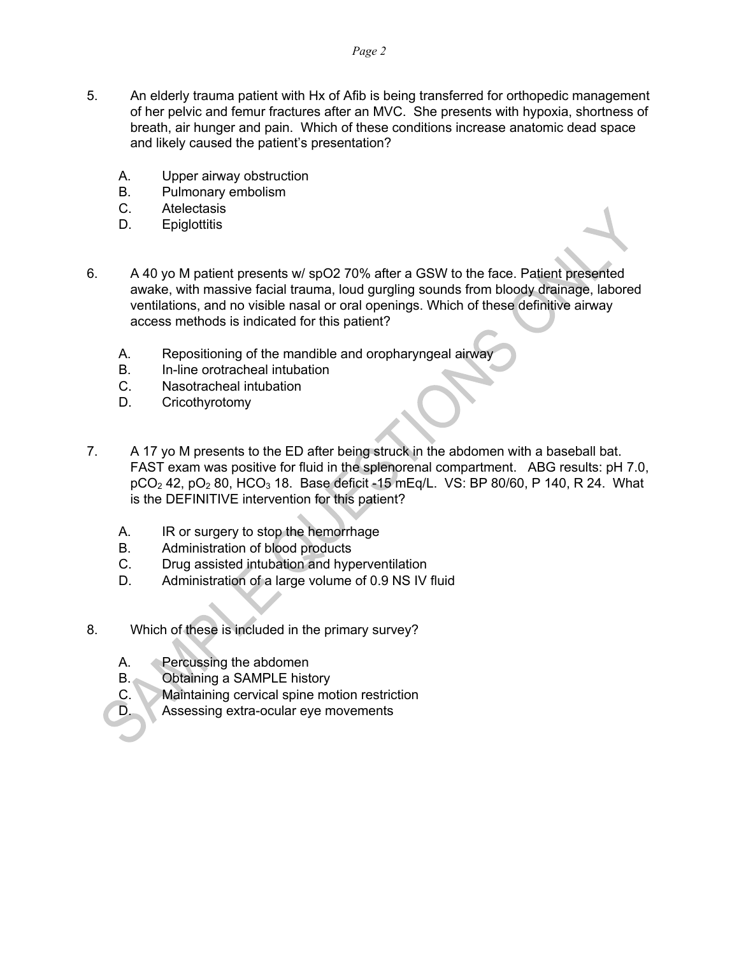- 5. An elderly trauma patient with Hx of Afib is being transferred for orthopedic management of her pelvic and femur fractures after an MVC. She presents with hypoxia, shortness of breath, air hunger and pain. Which of these conditions increase anatomic dead space and likely caused the patient's presentation?
	- A. Upper airway obstruction
	- B. Pulmonary embolism
	- C. Atelectasis
	- D. Epiglottitis
- 6. A 40 yo M patient presents w/ spO2 70% after a GSW to the face. Patient presented awake, with massive facial trauma, loud gurgling sounds from bloody drainage, labored ventilations, and no visible nasal or oral openings. Which of these definitive airway access methods is indicated for this patient?
	- A. Repositioning of the mandible and oropharyngeal airway
	- B. In-line orotracheal intubation
	- C. Nasotracheal intubation
	- D. Cricothyrotomy
- 7. A 17 yo M presents to the ED after being struck in the abdomen with a baseball bat. FAST exam was positive for fluid in the splenorenal compartment. ABG results: pH 7.0,  $pCO<sub>2</sub>$  42,  $pO<sub>2</sub>$  80, HCO<sub>3</sub> 18. Base deficit -15 mEq/L. VS: BP 80/60, P 140, R 24. What is the DEFINITIVE intervention for this patient?
	- A. IR or surgery to stop the hemorrhage
	- B. Administration of blood products
	- C. Drug assisted intubation and hyperventilation
	- D. Administration of a large volume of 0.9 NS IV fluid
- 8. Which of these is included in the primary survey?
	- A. Percussing the abdomen
	- B. Obtaining a SAMPLE history
	- C. Maintaining cervical spine motion restriction
	- D. Assessing extra-ocular eye movements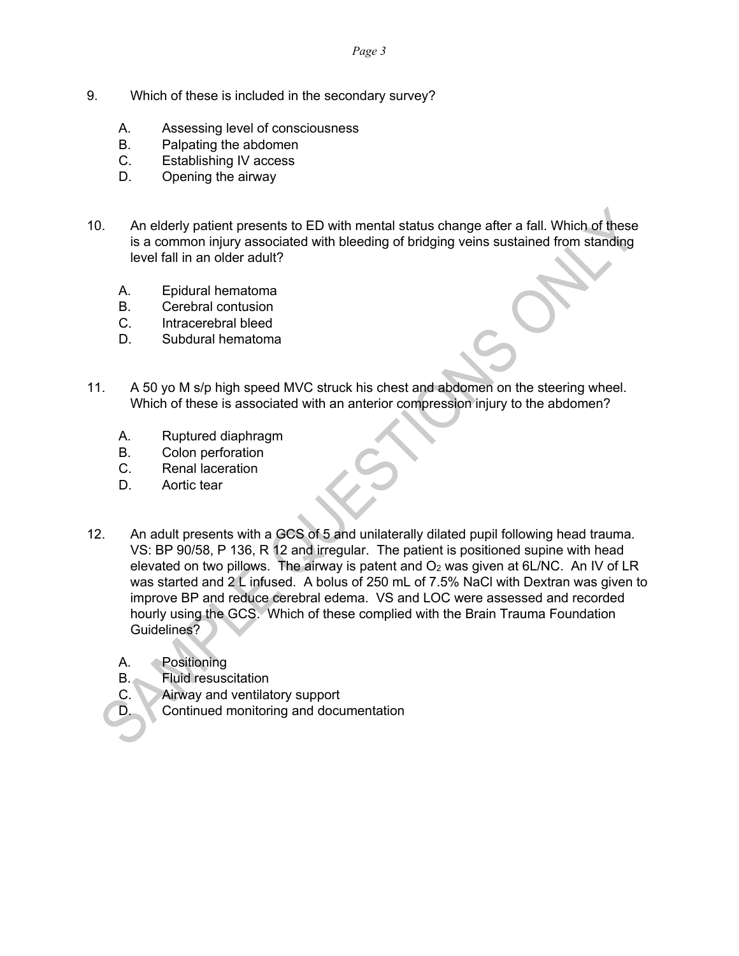- 9. Which of these is included in the secondary survey?
	- A. Assessing level of consciousness
	- B. Palpating the abdomen
	- C. Establishing IV access
	- D. Opening the airway
- 10. An elderly patient presents to ED with mental status change after a fall. Which of these is a common injury associated with bleeding of bridging veins sustained from standing level fall in an older adult?
	- A. Epidural hematoma
	- B. Cerebral contusion
	- C. Intracerebral bleed
	- D. Subdural hematoma
- 11. A 50 yo M s/p high speed MVC struck his chest and abdomen on the steering wheel. Which of these is associated with an anterior compression injury to the abdomen?
	- A. Ruptured diaphragm
	- B. Colon perforation
	- C. Renal laceration
	- D. Aortic tear
- 12. An adult presents with a GCS of 5 and unilaterally dilated pupil following head trauma. VS: BP 90/58, P 136, R 12 and irregular. The patient is positioned supine with head elevated on two pillows. The airway is patent and  $O<sub>2</sub>$  was given at 6L/NC. An IV of LR was started and 2 L infused. A bolus of 250 mL of 7.5% NaCl with Dextran was given to improve BP and reduce cerebral edema. VS and LOC were assessed and recorded hourly using the GCS. Which of these complied with the Brain Trauma Foundation Guidelines?
	- A. Positioning
	- B. Fluid resuscitation
	- C. Airway and ventilatory support
	- D. Continued monitoring and documentation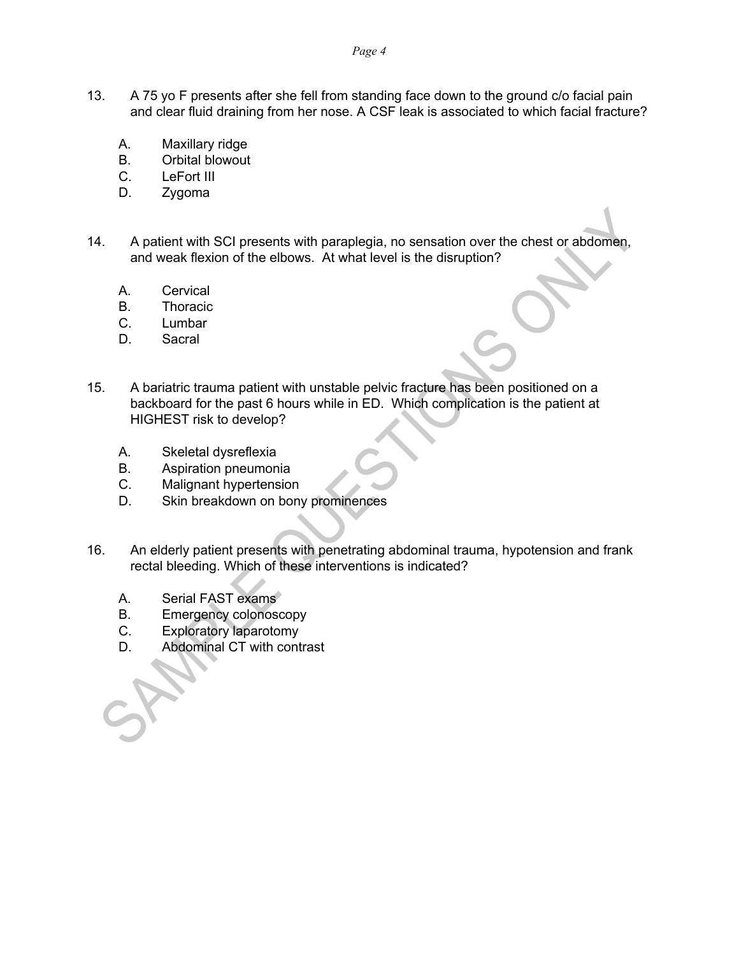- 13. A 75 yo F presents after she fell from standing face down to the ground c/o facial pain and clear fluid draining from her nose. A CSF leak is associated to which facial fracture?
	- A. Maxillary ridge
	- B. Orbital blowout
	- C. LeFort III
	- D. Zygoma
- 14. A patient with SCI presents with paraplegia, no sensation over the chest or abdomen, and weak flexion of the elbows. At what level is the disruption?
	- A. Cervical
	- B. Thoracic
	- C. Lumbar
	- D. Sacral
- 15. A bariatric trauma patient with unstable pelvic fracture has been positioned on a backboard for the past 6 hours while in ED. Which complication is the patient at HIGHEST risk to develop?
	- A. Skeletal dysreflexia
	- B. Aspiration pneumonia
	- C. Malignant hypertension
	- D. Skin breakdown on bony prominences
- 16. An elderly patient presents with penetrating abdominal trauma, hypotension and frank rectal bleeding. Which of these interventions is indicated?
	- A. Serial FAST exams
	- B. Emergency colonoscopy
	- C. Exploratory laparotomy
	- D. Abdominal CT with contrast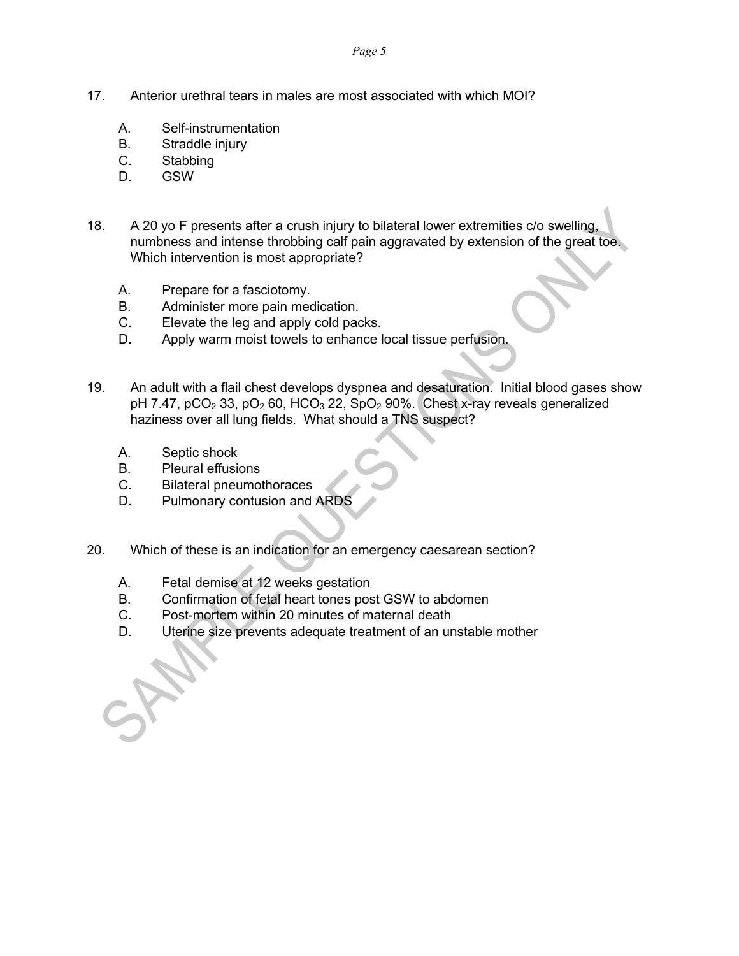- 17. Anterior urethral tears in males are most associated with which MOI?
	- A. Self-instrumentation
	- B. Straddle injury
	- C. Stabbing
	- D. GSW
- 18. A 20 yo F presents after a crush injury to bilateral lower extremities c/o swelling, numbness and intense throbbing calf pain aggravated by extension of the great toe. Which intervention is most appropriate?
	- A. Prepare for a fasciotomy.
	- B. Administer more pain medication.
	- C. Elevate the leg and apply cold packs.
	- D. Apply warm moist towels to enhance local tissue perfusion.
- 19. An adult with a flail chest develops dyspnea and desaturation. Initial blood gases show pH 7.47,  $pCO<sub>2</sub>$  33,  $pO<sub>2</sub>$  60, HCO<sub>3</sub> 22, SpO<sub>2</sub> 90%. Chest x-ray reveals generalized haziness over all lung fields. What should a TNS suspect?
	- A. Septic shock
	- B. Pleural effusions
	- C. Bilateral pneumothoraces
	- D. Pulmonary contusion and ARDS
- 20. Which of these is an indication for an emergency caesarean section?
	- A. Fetal demise at 12 weeks gestation
	- B. Confirmation of fetal heart tones post GSW to abdomen
	- C. Post-mortem within 20 minutes of maternal death
	- D. Uterine size prevents adequate treatment of an unstable mother